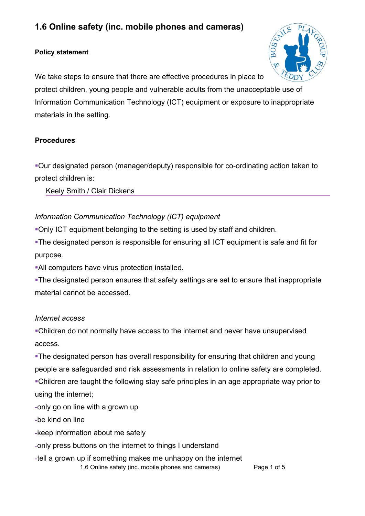# **1.6 Online safety (inc. mobile phones and cameras)**

### **Policy statement**



We take steps to ensure that there are effective procedures in place to protect children, young people and vulnerable adults from the unacceptable use of Information Communication Technology (ICT) equipment or exposure to inappropriate materials in the setting.

## **Procedures**

!Our designated person (manager/deputy) responsible for co-ordinating action taken to protect children is:

Keely Smith / Clair Dickens

# *Information Communication Technology (ICT) equipment*

!Only ICT equipment belonging to the setting is used by staff and children.

!The designated person is responsible for ensuring all ICT equipment is safe and fit for purpose.

!All computers have virus protection installed.

!The designated person ensures that safety settings are set to ensure that inappropriate material cannot be accessed.

# *Internet access*

!Children do not normally have access to the internet and never have unsupervised access.

. The designated person has overall responsibility for ensuring that children and young people are safeguarded and risk assessments in relation to online safety are completed. !Children are taught the following stay safe principles in an age appropriate way prior to using the internet;

**-**only go on line with a grown up

**-**be kind on line

- **-**keep information about me safely
- **-**only press buttons on the internet to things I understand
- **-**tell a grown up if something makes me unhappy on the internet 1.6 Online safety (inc. mobile phones and cameras) Page 1 of 5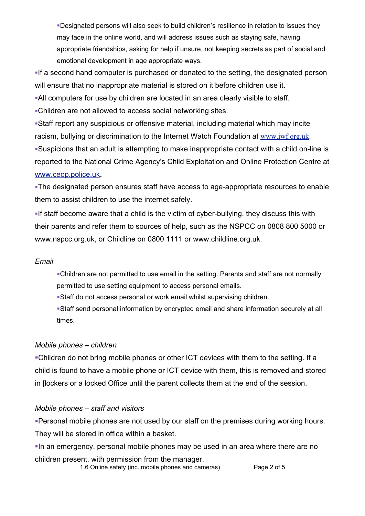!Designated persons will also seek to build children's resilience in relation to issues they may face in the online world, and will address issues such as staying safe, having appropriate friendships, asking for help if unsure, not keeping secrets as part of social and emotional development in age appropriate ways.

!If a second hand computer is purchased or donated to the setting, the designated person will ensure that no inappropriate material is stored on it before children use it.

!All computers for use by children are located in an area clearly visible to staff.

!Children are not allowed to access social networking sites.

!Staff report any suspicious or offensive material, including material which may incite racism, bullying or discrimination to the Internet Watch Foundation at www.iwf.org.uk.

!Suspicions that an adult is attempting to make inappropriate contact with a child on-line is reported to the National Crime Agency's Child Exploitation and Online Protection Centre at www.ceop.police.uk**.**

!The designated person ensures staff have access to age-appropriate resources to enable them to assist children to use the internet safely.

!If staff become aware that a child is the victim of cyber-bullying, they discuss this with their parents and refer them to sources of help, such as the NSPCC on 0808 800 5000 or www.nspcc.org.uk, or Childline on 0800 1111 or www.childline.org.uk.

### *Email*

!Children are not permitted to use email in the setting. Parents and staff are not normally permitted to use setting equipment to access personal emails.

!Staff do not access personal or work email whilst supervising children.

!Staff send personal information by encrypted email and share information securely at all times.

# *Mobile phones – children*

!Children do not bring mobile phones or other ICT devices with them to the setting. If a child is found to have a mobile phone or ICT device with them, this is removed and stored in [lockers or a locked Office until the parent collects them at the end of the session.

# *Mobile phones – staff and visitors*

**Personal mobile phones are not used by our staff on the premises during working hours.** They will be stored in office within a basket.

!In an emergency, personal mobile phones may be used in an area where there are no children present, with permission from the manager.

1.6 Online safety (inc. mobile phones and cameras) Page 2 of 5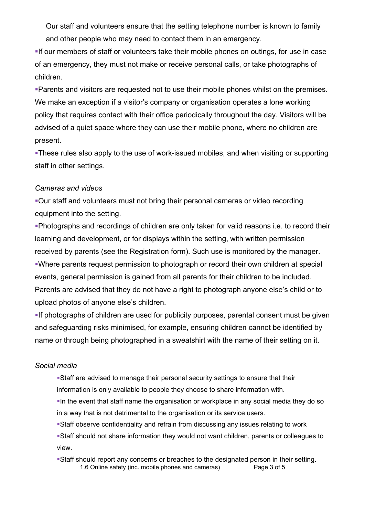Our staff and volunteers ensure that the setting telephone number is known to family and other people who may need to contact them in an emergency.

!If our members of staff or volunteers take their mobile phones on outings, for use in case of an emergency, they must not make or receive personal calls, or take photographs of children.

!Parents and visitors are requested not to use their mobile phones whilst on the premises. We make an exception if a visitor's company or organisation operates a lone working policy that requires contact with their office periodically throughout the day. Visitors will be advised of a quiet space where they can use their mobile phone, where no children are present.

!These rules also apply to the use of work-issued mobiles, and when visiting or supporting staff in other settings.

#### *Cameras and videos*

!Our staff and volunteers must not bring their personal cameras or video recording equipment into the setting.

!Photographs and recordings of children are only taken for valid reasons i.e. to record their learning and development, or for displays within the setting, with written permission received by parents (see the Registration form). Such use is monitored by the manager. !Where parents request permission to photograph or record their own children at special events, general permission is gained from all parents for their children to be included. Parents are advised that they do not have a right to photograph anyone else's child or to upload photos of anyone else's children.

!If photographs of children are used for publicity purposes, parental consent must be given and safeguarding risks minimised, for example, ensuring children cannot be identified by name or through being photographed in a sweatshirt with the name of their setting on it.

#### *Social media*

- !Staff are advised to manage their personal security settings to ensure that their information is only available to people they choose to share information with.
- . In the event that staff name the organisation or workplace in any social media they do so in a way that is not detrimental to the organisation or its service users.
- !Staff observe confidentiality and refrain from discussing any issues relating to work !Staff should not share information they would not want children, parents or colleagues to view.
- !Staff should report any concerns or breaches to the designated person in their setting. 1.6 Online safety (inc. mobile phones and cameras) Page 3 of 5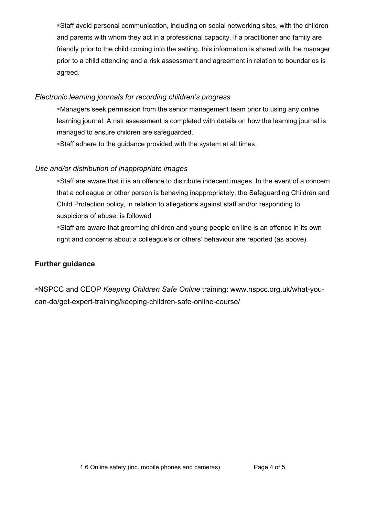!Staff avoid personal communication, including on social networking sites, with the children and parents with whom they act in a professional capacity. If a practitioner and family are friendly prior to the child coming into the setting, this information is shared with the manager prior to a child attending and a risk assessment and agreement in relation to boundaries is agreed.

#### *Electronic learning journals for recording children's progress*

!Managers seek permission from the senior management team prior to using any online learning journal. A risk assessment is completed with details on how the learning journal is managed to ensure children are safeguarded.

!Staff adhere to the guidance provided with the system at all times.

### *Use and/or distribution of inappropriate images*

!Staff are aware that it is an offence to distribute indecent images. In the event of a concern that a colleague or other person is behaving inappropriately, the Safeguarding Children and Child Protection policy, in relation to allegations against staff and/or responding to suspicions of abuse, is followed

!Staff are aware that grooming children and young people on line is an offence in its own right and concerns about a colleague's or others' behaviour are reported (as above).

### **Further guidance**

!NSPCC and CEOP *Keeping Children Safe Online* training: www.nspcc.org.uk/what-youcan-do/get-expert-training/keeping-children-safe-online-course/